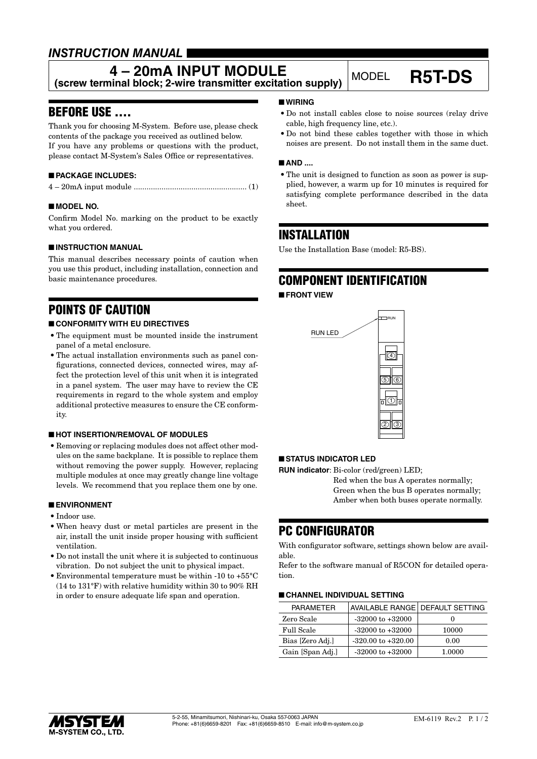### *INSTRUCTION MANUAL*

## **4 – 20mA INPUT MODULE**

**(screw terminal block; 2-wire transmitter excitation supply)** MODEL **R5T-DS**

### BEFORE USE ....

Thank you for choosing M-System. Before use, please check contents of the package you received as outlined below. If you have any problems or questions with the product, please contact M-System's Sales Office or representatives.

### ■ **PACKAGE INCLUDES:**

|--|--|--|--|--|

### ■ **MODEL NO.**

Confirm Model No. marking on the product to be exactly what you ordered.

### ■ **INSTRUCTION MANUAL**

This manual describes necessary points of caution when you use this product, including installation, connection and basic maintenance procedures.

### POINTS OF CAUTION

### ■ **CONFORMITY WITH EU DIRECTIVES**

- The equipment must be mounted inside the instrument panel of a metal enclosure.
- The actual installation environments such as panel configurations, connected devices, connected wires, may affect the protection level of this unit when it is integrated in a panel system. The user may have to review the CE requirements in regard to the whole system and employ additional protective measures to ensure the CE conformity.

### ■ **HOT INSERTION/REMOVAL OF MODULES**

• Removing or replacing modules does not affect other modules on the same backplane. It is possible to replace them without removing the power supply. However, replacing multiple modules at once may greatly change line voltage levels. We recommend that you replace them one by one.

#### ■ **ENVIRONMENT**

- Indoor use.
- When heavy dust or metal particles are present in the air, install the unit inside proper housing with sufficient ventilation.
- Do not install the unit where it is subjected to continuous vibration. Do not subject the unit to physical impact.
- Environmental temperature must be within -10 to +55°C (14 to 131°F) with relative humidity within 30 to 90% RH in order to ensure adequate life span and operation.

### ■ **WIRING**

- Do not install cables close to noise sources (relay drive cable, high frequency line, etc.).
- Do not bind these cables together with those in which noises are present. Do not install them in the same duct.

#### ■ AND ....

• The unit is designed to function as soon as power is supplied, however, a warm up for 10 minutes is required for satisfying complete performance described in the data sheet.

### INSTALLATION

Use the Installation Base (model: R5-BS).

# COMPONENT IDENTIFICATION

■ **FRONT VIEW**



### ■ **STATUS INDICATOR LED**

**RUN indicator**: Bi-color (red/green) LED;

Red when the bus A operates normally; Green when the bus B operates normally; Amber when both buses operate normally.

### PC CONFIGURATOR

With configurator software, settings shown below are available.

Refer to the software manual of R5CON for detailed operation.

#### ■ **CHANNEL INDIVIDUAL SETTING**

| PARAMETER         | AVAILABLE RANGE   DEFAULT SETTING |        |
|-------------------|-----------------------------------|--------|
| Zero Scale        | $-32000$ to $+32000$              |        |
| <b>Full Scale</b> | $-32000$ to $+32000$              | 10000  |
| Bias [Zero Adj.]  | $-320.00$ to $+320.00$            | 0.00   |
| Gain [Span Adj.]  | $-32000$ to $+32000$              | 1.0000 |